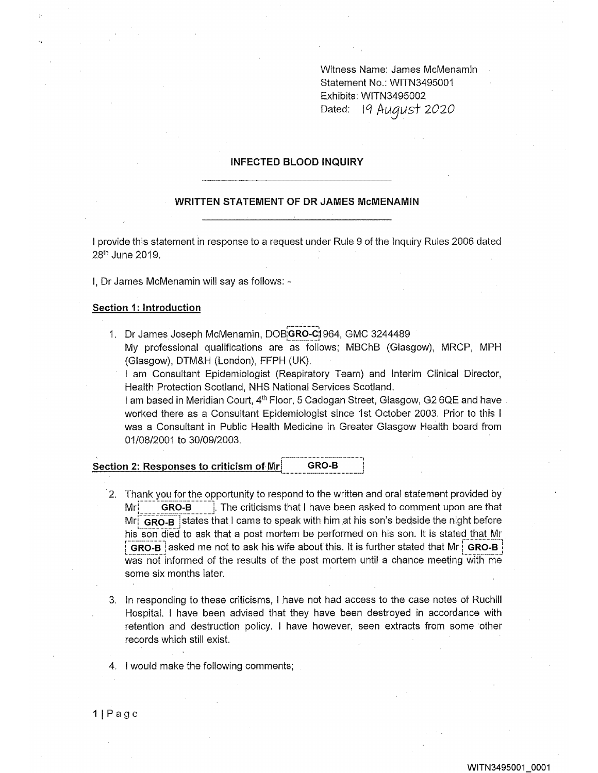Witness Name: James McMenamin Statement No.: WITN3495001 Exhibits: WITN3495002 Dated: 19 August 2020

## INFECTED BLOOD INQUIRY

# WRITTEN STATEMENT OF DR JAMES McMENAMIN

I provide this statement in response to a request under Rule 9 of the inquiry Rules 2006 dated 28<sup>th</sup> June 2019.

I, Dr James McMenamin will say as follows: -

### Section 1: Introduction

1. Dr James Joseph McMenamin, DOBGRO-C1964, GMC 3244489 My professional qualifications are as follows; MBChB (Glasgow), MRCP, MPH (Glasgow), DTM&H (London), FFPH (UK).

I am Consultant Epidemiologist (Respiratory Team) and Interim Clinical Director, Health Protection Scotland, NHS National Services Scotland.

I am based in Meridian Court, 4<sup>th</sup> Floor, 5 Cadogan Street, Glasgow, G2 6QE and have worked there as a Consultant Epidemiologist since 1st October 2003, Prior to this I was a Consultant in Public Health Medicine in Greater Glasgow Health board from 01/08/2001 to 30/0912003.

### Section 2: Responses to criticism of Mr. GRO-B

- 2. Thank you for the opportunity to respond to the written and oral statement provided by  $Mr$ . GRO-B i. The criticisms that I have been asked to comment upon are that Mr  $|$  GRO-B states that I came to speak with him at his son's bedside the night before his son died to ask that a post mortem be performed on his son. It is stated that Mr GRO-B asked me not to ask his wife about this. It is further stated that Mr  $\vert$  GRO-B was not informed of the results of the post mortem until a chance meeting with me some six months later.
- 3, In responding to these criticisms, I have not had access to the case notes of Ruchill Hospital. I have been advised that they have been destroyed in accordance with retention and destruction policy. I have however, seen extracts from some other records which still exist.
- 4. I would make the following comments,

1IPage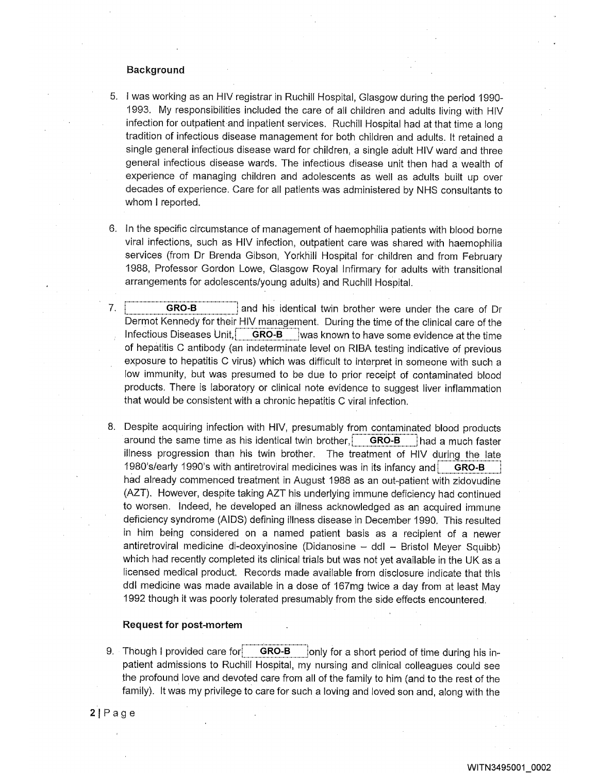# Background

- 5. I was working as an HIV registrar in Ruchill Hospital, Glasgow during the period 1990- 1993. My responsibilities included the care of all children and adults living with HIV infection for outpatient and inpatient services. Ruchill Hospital had at that time a long tradition of infectious disease management for both children and adults. It retained a single general infectious disease ward for children, a single adult HIV ward and three general infectious disease wards. The infectious disease unit then had a wealth of experience of managing children and adolescents as well as adults built up over decades of experience. Care for all patients was administered by NHS consultants to whom I reported.
- 6. In the specific circumstance of management of haemophilia patients with blood borne viral infections, such as HIV infection, outpatient care was shared with haemophilia services (from Dr Brenda Gibson, Yorkhill Hospital for children and from February 1988, Professor Gordon Lowe, Glasgow Royal Infirmary for adults with transitional arrangements for adolescents/young adults) and Ruchill Hospital.
- 7. **GRO-B** and his identical twin brother were under the care of Dr Dermot Kennedy for their HIV management. During the time of the clinical care of the Infectious Diseases Unit, GRO-B ; was known to have some evidence at the time of hepatitis C antibody (an indeterminate level on RIBA testing indicative of previous exposure to hepatitis C virus) which was difficult to interpret in someone with such a low immunity, but was presumed to be due to prior receipt of contaminated blood products. There is laboratory or clinical note evidence to suggest liver inflammation that would be consistent with a chronic hepatitis C viral infection.
- 8. Despite acquiring infection with HIV, presumably from contaminated blood products around the same time as his identical twin brother,  $|$  GRO-B  $|$  had a much faster illness progression than his twin brother. The treatment of HIV during the late 1980's/early 1990's with antiretroviral medicines was in its infancy and **GRO-B** had already commenced treatment in August 1988 as an out-patient with zidovudine (AZT). However, despite taking AZT his underlying immune deficiency had continued to worsen. Indeed, he developed an illness acknowledged as an acquired immune deficiency syndrome (AIDS) defining illness disease in December 1990. This resulted in him being considered on a named patient basis as a recipient of a newer antiretroviral medicine di-deoxyinosine (Didanosine - ddl - Bristol Meyer Squibb) which had recently completed its clinical trials but was not yet available in the UK as a licensed medical product. Records made available from disclosure indicate that this ddl medicine was made available in a dose of 167mg twice a day from at least May 1992 though it was poorly tolerated presumably from the side effects encountered.

## Request for post-mortem

9. Though I provided care for  $\frac{1}{2}$  GRO-B  $\frac{1}{2}$  jonly for a short period of time during his inpatient admissions to Ruchill Hospital, my nursing and clinical colleagues could see the profound love and devoted care from all of the family to him (and to the rest of the family). It was my privilege to care for such a loving and loved son and, along with the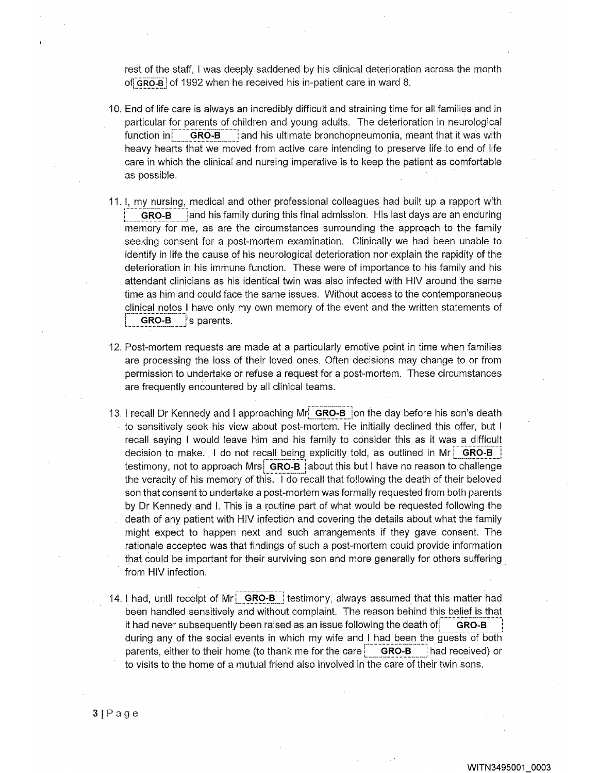rest of the staff, I was deeply saddened by his clinical deterioration across the month of GRO\_B of 1992 when he received his in patient care in ward 8.

- 10. End of life care is always an incredibly difficult and straining time for all families and in particular for parents of children and young adults. The deterioration in neurological function in  $\blacksquare$  GRO-B and his ultimate bronchopneumonia, meant that it was with heavy hearts that we moved from active care intending to preserve life to end of life care in which the clinical and nursing imperative is to keep the patient as comfortable as possible.
- 11. 1, my nursing, medical and other professional colleagues had built up a rapport with GRO-B and his family during this final admission. His last days are an enduring memory for me, as are the circumstances surrounding the approach to the family seeking consent for a post-mortem examination. Clinically we had been unable to identify in life the cause of his neurological deterioration nor explain the rapidity of the deterioration in his immune function. These were of importance to his family and his attendant clinicians as his identical twin was also infected with HIV around the same time as him and could face the same issues. Without access to the contemporaneous clinical notes I have only my own memory of the event and the written statements of **GRO-B** 's parents,
- 12. Post-mortem requests are made at a particularly emotive point in time when families are processing the loss of their loved ones. Often decisions may change to or from permission to undertake or refuse a request for a post-mortem. These circumstances are frequently encountered by all clinical teams.
- 13. I recall Dr Kennedy and I approaching Mr GRO-B on the day before his son's death • to sensitively seek his view about post-mortem. He initially declined this offer, but I recall saying I would leave him and his family to consider this as it was a difficult decision to make. I do not recall being explicitly told, as outlined in Mr  $\vert$  GRO-B testimony, not to approach Mrs. GRO-B about this but I have no reason to challenge the veracity of his memory of this. I do recall that following the death of their beloved son that consent to undertake a post-mortem was formally requested from both parents by Dr Kennedy and I. This is a routine part of what would be requested following the death of any patient with HIV infection and covering the details about what the family might expect to happen next and such arrangements if they gave consent. The rationale accepted was that findings of such a post-mortem could provide information that could be important for their surviving son and more generally for others suffering from HIV infection.
- 14. I had, until receipt of Mr  $\overline{\phantom{a}}$  GRO-B testimony, always assumed that this matter had been handled sensitively and without complaint. The reason behind this belief is that it had never subsequently been raised as an issue following the death of  $G$  GRO-B during any of the social events in which my wife and I had been the guests of both parents, either to their home (to thank me for the care  $|$  GRO-B had received) or to visits to the home of a mutual friend also involved in the care of their twin sons.

 $3|Page$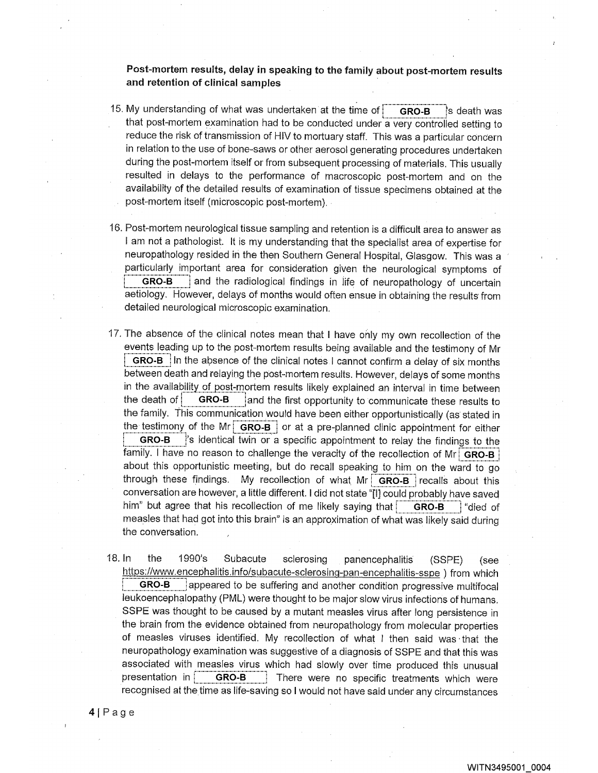Post-mortem results, delay in speaking to the family about post-mortem results and retention of clinical samples

- 15. My understanding of what was undertaken at the time of  $\overline{\text{GRO-B}}$  is death was that post-mortem examination had to be conducted under a very controlled setting to reduce the risk of transmission of HIV to mortuary staff. This was a particular concern in relation to the use of bone-saws or other aerosol generating procedures undertaken during the post-mortem itself or from subsequent processing of materials. This usually resulted in delays to the performance of macroscopic post-mortem and on the availability of the detailed results of examination of tissue specimens obtained at the post-mortem itself (microscopic post-mortem).
- 16. Post-mortem neurological tissue sampling and retention is a difficult area to answer as I am not a pathologist. It is my understanding that the specialist area of expertise for neuropathology resided in the then Southern General Hospital, Glasgow. This was a particularly important area for consideration given the neurological symptoms of GRO-B | and the radiological findings in life of neuropathology of uncertain aetiology. However, delays of months would often ensue in obtaining the results from detailed neurological microscopic examination.
- 17. The absence of the clinical notes mean that I have only my own recollection of the events leading up to the post-mortem results being available and the testimony of Mr GRO-B In the absence of the clinical notes I cannot confirm a delay of six months between death and relaying the post-mortem results. However, delays of some months in the availability of post-mortem results likely explained an interval in time between the death of  $\vert$  GRO-B  $\vert$  and the first opportunity to communicate these results to the family. This communication would have been either opportunistically (as stated in the testimony of the Mr:  $GRO-B$  or at a pre-planned clinic appointment for either GRO-B <sup>'</sup>'s identical twin or a specific appointment to relay the findings to the family. I have no reason to challenge the veracity of the recollection of Mr GRO-B about this opportunistic meeting, but do recall speaking to him on the ward to go through these findings. My recollection of what Mr  $GRO-B$  recalls about this conversation are however, a little different. I did not state "I] could probably have saved him" but agree that his recollection of me likely saying that  $\overline{G}$  GRO-B  $\overline{G}$  "died of measles that had got into this brain" is an approximation of what was likely said during the conversation.
- 18. In the 1990's Subacute sclerosing panencephalitis (SSPE) (see i\_.\_.\_. https://www.encephalitis.info/subacute-sclerosing-pan-encephalitis-sspe ) from which GRO-B **indepeared to be suffering and another condition progressive multifocal** leukoencephalopathy (PML) were thought to be major slow virus infections of humans. SSPE was thought to be caused by a mutant measles virus after long persistence in the brain from the evidence obtained from neuropathology from molecular properties of measles viruses identified. My recollection of what I then said was that the neuropathology examination was suggestive of a diagnosis of SSPE and that this was associated with measles virus which had slowly over time produced this unusual presentation in  $\parallel$  GRO-B  $\parallel$  There were no specific treatments which were recognised at the time as life-saving so I would not have said under any circumstances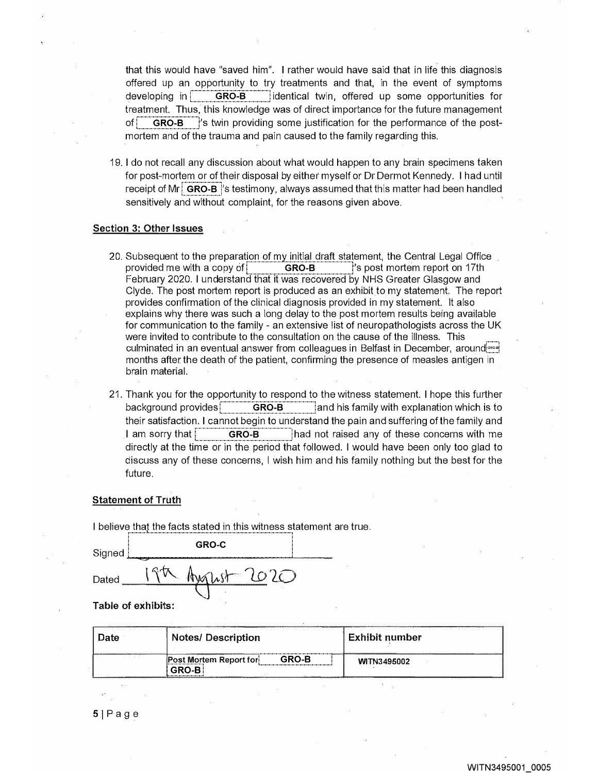that this would have "saved him". I rather would have said that in life this diagnosis offered up an opportunity to try treatments and that, in the event of symptoms developing in **GRO-B** identical twin, offered up some opportunities for treatment. Thus, this knowledge was of direct importance for the future management of GRO-B <sup>i</sup>s twin providing some justification for the performance of the postmortem and of the trauma and pain caused to the family regarding this.

19. I do not recall any discussion about what would happen to any brain specimens taken for post-mortem or of their disposal by either myself or Dr Dermot Kennedy. I had until receipt of Mr  $\overline{a}$  GRO-B <sup>i</sup>s testimony, always assumed that this matter had been handled sensitively and without complaint, for the reasons given above.

### Section 3: Other Issues

- 20. Subsequent to the preparation of my initial draft statement, the Central Legal Office provided me with a copy of  $R$  GRO-B is post mortem report on 17th February 2020. I understand that it was recovered by NHS Greater Glasgow and Clyde. The post mortem report is produced as an exhibit to my statement. The report provides confirmation of the clinical diagnosis provided in my statement. It also explains why there was such a long delay to the post mortem results being available for communication to the family - an extensive list of neuropathologists across the UK were invited to contribute to the consultation on the cause of the illness. This culminated in an eventual answer from colleagues in Belfast in December, around months after. the death of the patient, confirming the presence of measles antigen in brain material.
- 21. Thank you for the opportunity to respond to the witness statement. I hope this further background provides $\begin{array}{|c|c|}\n\hline\n&\mathbf{GRO-B}\n\end{array}$  and his family with explanation which is to their satisfaction. I cannot begin to understand the pain and suffering of the family and I am sorry that GRO-B had not raised any of these concerns with me directly at the time or in the period that followed. I would have been only too glad to discuss any of these concerns, I wish him and his family nothing but the best for the future.

#### Statement of Truth

I believe that the facts stated in this witness statement are true.

| Signed | GRO-C         |  |
|--------|---------------|--|
| Dated  | $\sim$ $\sim$ |  |

Table of exhibits:

| Date | <b>Notes/ Description</b>                 | Exhibit number |  |  |
|------|-------------------------------------------|----------------|--|--|
|      | GRO-B<br>Post Mortem Report for<br>GRO-R. | WITN3495002    |  |  |

Page